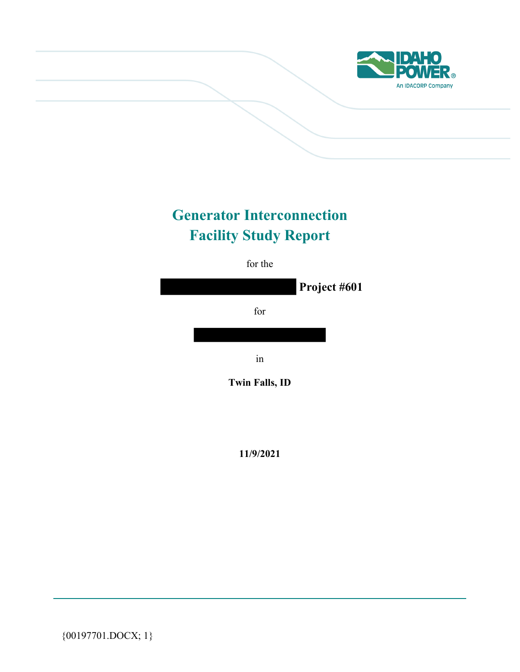

# **Generator Interconnection Facility Study Report**

for the



**11/9/2021** 

{00197701.DOCX; 1}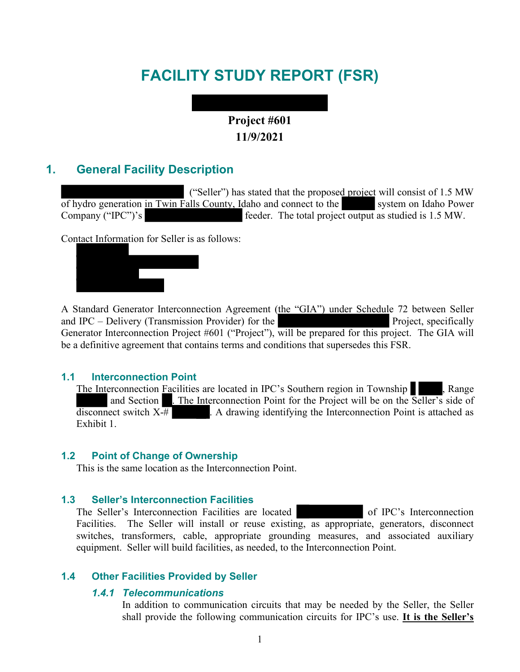# **FACILITY STUDY REPORT (FSR)**

# **Project #601 11/9/2021**

## **1. General Facility Description**

("Seller") has stated that the proposed project will consist of 1.5 MW of hydro generation in Twin Falls County, Idaho and connect to the system on Idaho Power Company ("IPC")'s feeder. The total project output as studied is 1.5 MW.

Contact Information for Seller is as follows:



A Standard Generator Interconnection Agreement (the "GIA") under Schedule 72 between Seller and IPC – Delivery (Transmission Provider) for the  $\blacksquare$  Project, specifically Generator Interconnection Project #601 ("Project"), will be prepared for this project. The GIA will be a definitive agreement that contains terms and conditions that supersedes this FSR.

#### **1.1 Interconnection Point**

The Interconnection Facilities are located in IPC's Southern region in Township , Range and Section . The Interconnection Point for the Project will be on the Seller's side of  $\overline{\text{disconnect}}$  switch  $X \overline{+}$  . A drawing identifying the Interconnection Point is attached as Exhibit 1.

#### **1.2 Point of Change of Ownership**

This is the same location as the Interconnection Point.

### **1.3 Seller's Interconnection Facilities**

The Seller's Interconnection Facilities are located of IPC's Interconnection Facilities. The Seller will install or reuse existing, as appropriate, generators, disconnect switches, transformers, cable, appropriate grounding measures, and associated auxiliary equipment. Seller will build facilities, as needed, to the Interconnection Point.

### **1.4 Other Facilities Provided by Seller**

### *1.4.1 Telecommunications*

In addition to communication circuits that may be needed by the Seller, the Seller shall provide the following communication circuits for IPC's use. **It is the Seller's**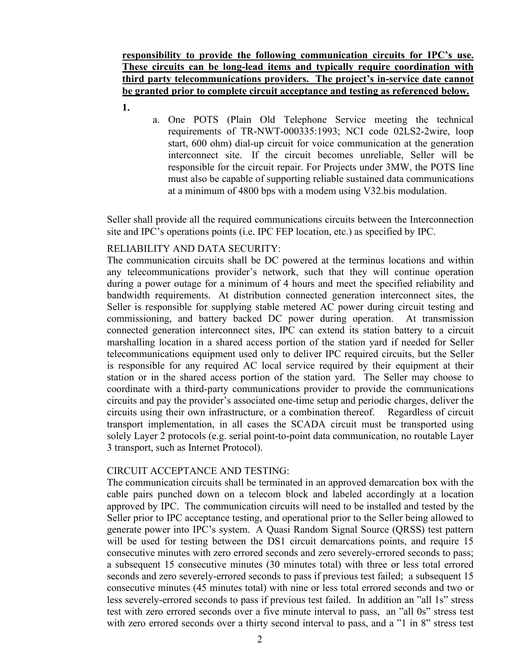**responsibility to provide the following communication circuits for IPC's use. These circuits can be long-lead items and typically require coordination with third party telecommunications providers. The project's in-service date cannot be granted prior to complete circuit acceptance and testing as referenced below.** 

- **1.**
- a. One POTS (Plain Old Telephone Service meeting the technical requirements of TR-NWT-000335:1993; NCI code 02LS2-2wire, loop start, 600 ohm) dial-up circuit for voice communication at the generation interconnect site. If the circuit becomes unreliable, Seller will be responsible for the circuit repair. For Projects under 3MW, the POTS line must also be capable of supporting reliable sustained data communications at a minimum of 4800 bps with a modem using V32.bis modulation.

Seller shall provide all the required communications circuits between the Interconnection site and IPC's operations points (i.e. IPC FEP location, etc.) as specified by IPC.

### RELIABILITY AND DATA SECURITY:

The communication circuits shall be DC powered at the terminus locations and within any telecommunications provider's network, such that they will continue operation during a power outage for a minimum of 4 hours and meet the specified reliability and bandwidth requirements. At distribution connected generation interconnect sites, the Seller is responsible for supplying stable metered AC power during circuit testing and commissioning, and battery backed DC power during operation. At transmission connected generation interconnect sites, IPC can extend its station battery to a circuit marshalling location in a shared access portion of the station yard if needed for Seller telecommunications equipment used only to deliver IPC required circuits, but the Seller is responsible for any required AC local service required by their equipment at their station or in the shared access portion of the station yard. The Seller may choose to coordinate with a third-party communications provider to provide the communications circuits and pay the provider's associated one-time setup and periodic charges, deliver the circuits using their own infrastructure, or a combination thereof. Regardless of circuit transport implementation, in all cases the SCADA circuit must be transported using solely Layer 2 protocols (e.g. serial point-to-point data communication, no routable Layer 3 transport, such as Internet Protocol).

### CIRCUIT ACCEPTANCE AND TESTING:

The communication circuits shall be terminated in an approved demarcation box with the cable pairs punched down on a telecom block and labeled accordingly at a location approved by IPC. The communication circuits will need to be installed and tested by the Seller prior to IPC acceptance testing, and operational prior to the Seller being allowed to generate power into IPC's system. A Quasi Random Signal Source (QRSS) test pattern will be used for testing between the DS1 circuit demarcations points, and require 15 consecutive minutes with zero errored seconds and zero severely-errored seconds to pass; a subsequent 15 consecutive minutes (30 minutes total) with three or less total errored seconds and zero severely-errored seconds to pass if previous test failed; a subsequent 15 consecutive minutes (45 minutes total) with nine or less total errored seconds and two or less severely-errored seconds to pass if previous test failed. In addition an "all 1s" stress test with zero errored seconds over a five minute interval to pass, an "all 0s" stress test with zero errored seconds over a thirty second interval to pass, and a "1 in 8" stress test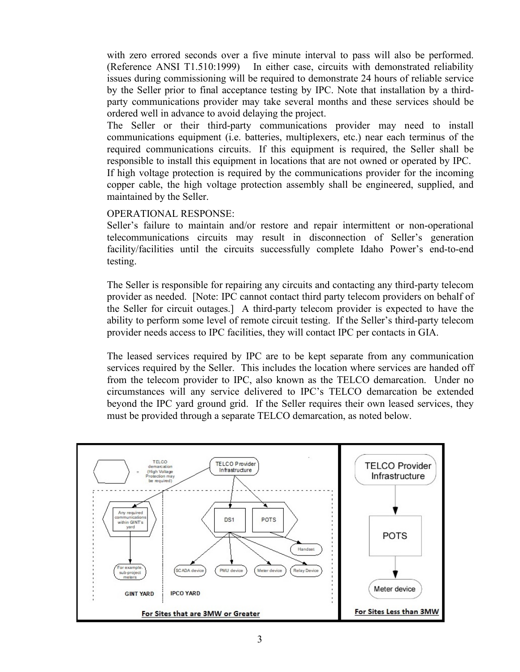with zero errored seconds over a five minute interval to pass will also be performed. (Reference ANSI T1.510:1999) In either case, circuits with demonstrated reliability issues during commissioning will be required to demonstrate 24 hours of reliable service by the Seller prior to final acceptance testing by IPC. Note that installation by a thirdparty communications provider may take several months and these services should be ordered well in advance to avoid delaying the project.

The Seller or their third-party communications provider may need to install communications equipment (i.e. batteries, multiplexers, etc.) near each terminus of the required communications circuits. If this equipment is required, the Seller shall be responsible to install this equipment in locations that are not owned or operated by IPC. If high voltage protection is required by the communications provider for the incoming

copper cable, the high voltage protection assembly shall be engineered, supplied, and

maintained by the Seller.

OPERATIONAL RESPONSE:

Seller's failure to maintain and/or restore and repair intermittent or non-operational telecommunications circuits may result in disconnection of Seller's generation facility/facilities until the circuits successfully complete Idaho Power's end-to-end testing.

The Seller is responsible for repairing any circuits and contacting any third-party telecom provider as needed. [Note: IPC cannot contact third party telecom providers on behalf of the Seller for circuit outages.] A third-party telecom provider is expected to have the ability to perform some level of remote circuit testing. If the Seller's third-party telecom provider needs access to IPC facilities, they will contact IPC per contacts in GIA.

The leased services required by IPC are to be kept separate from any communication services required by the Seller. This includes the location where services are handed off from the telecom provider to IPC, also known as the TELCO demarcation. Under no circumstances will any service delivered to IPC's TELCO demarcation be extended beyond the IPC yard ground grid. If the Seller requires their own leased services, they must be provided through a separate TELCO demarcation, as noted below.

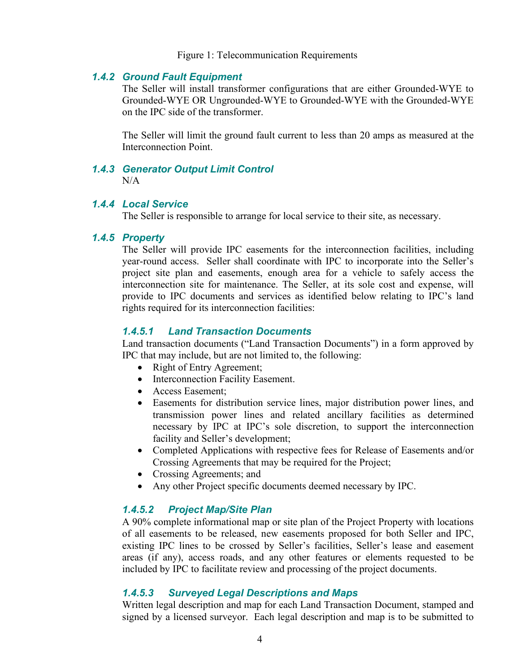Figure 1: Telecommunication Requirements

#### *1.4.2 Ground Fault Equipment*

The Seller will install transformer configurations that are either Grounded-WYE to Grounded-WYE OR Ungrounded-WYE to Grounded-WYE with the Grounded-WYE on the IPC side of the transformer.

The Seller will limit the ground fault current to less than 20 amps as measured at the Interconnection Point.

#### *1.4.3 Generator Output Limit Control*

 $N/A$ 

#### *1.4.4 Local Service*

The Seller is responsible to arrange for local service to their site, as necessary.

#### *1.4.5 Property*

The Seller will provide IPC easements for the interconnection facilities, including year-round access. Seller shall coordinate with IPC to incorporate into the Seller's project site plan and easements, enough area for a vehicle to safely access the interconnection site for maintenance. The Seller, at its sole cost and expense, will provide to IPC documents and services as identified below relating to IPC's land rights required for its interconnection facilities:

#### *1.4.5.1 Land Transaction Documents*

Land transaction documents ("Land Transaction Documents") in a form approved by IPC that may include, but are not limited to, the following:

- Right of Entry Agreement;
- Interconnection Facility Easement.
- Access Easement;
- Easements for distribution service lines, major distribution power lines, and transmission power lines and related ancillary facilities as determined necessary by IPC at IPC's sole discretion, to support the interconnection facility and Seller's development;
- Completed Applications with respective fees for Release of Easements and/or Crossing Agreements that may be required for the Project;
- Crossing Agreements; and
- Any other Project specific documents deemed necessary by IPC.

#### *1.4.5.2 Project Map/Site Plan*

A 90% complete informational map or site plan of the Project Property with locations of all easements to be released, new easements proposed for both Seller and IPC, existing IPC lines to be crossed by Seller's facilities, Seller's lease and easement areas (if any), access roads, and any other features or elements requested to be included by IPC to facilitate review and processing of the project documents.

### *1.4.5.3 Surveyed Legal Descriptions and Maps*

Written legal description and map for each Land Transaction Document, stamped and signed by a licensed surveyor. Each legal description and map is to be submitted to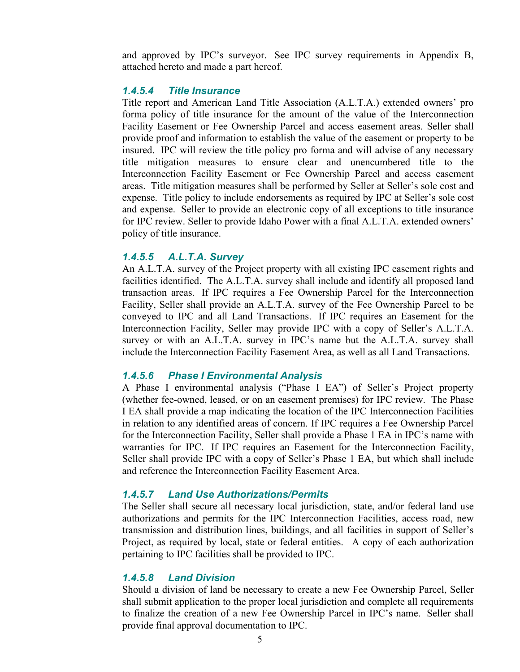and approved by IPC's surveyor. See IPC survey requirements in Appendix B, attached hereto and made a part hereof.

#### *1.4.5.4 Title Insurance*

Title report and American Land Title Association (A.L.T.A.) extended owners' pro forma policy of title insurance for the amount of the value of the Interconnection Facility Easement or Fee Ownership Parcel and access easement areas. Seller shall provide proof and information to establish the value of the easement or property to be insured. IPC will review the title policy pro forma and will advise of any necessary title mitigation measures to ensure clear and unencumbered title to the Interconnection Facility Easement or Fee Ownership Parcel and access easement areas. Title mitigation measures shall be performed by Seller at Seller's sole cost and expense. Title policy to include endorsements as required by IPC at Seller's sole cost and expense. Seller to provide an electronic copy of all exceptions to title insurance for IPC review. Seller to provide Idaho Power with a final A.L.T.A. extended owners' policy of title insurance.

#### *1.4.5.5 A.L.T.A. Survey*

An A.L.T.A. survey of the Project property with all existing IPC easement rights and facilities identified. The A.L.T.A. survey shall include and identify all proposed land transaction areas. If IPC requires a Fee Ownership Parcel for the Interconnection Facility, Seller shall provide an A.L.T.A. survey of the Fee Ownership Parcel to be conveyed to IPC and all Land Transactions. If IPC requires an Easement for the Interconnection Facility, Seller may provide IPC with a copy of Seller's A.L.T.A. survey or with an A.L.T.A. survey in IPC's name but the A.L.T.A. survey shall include the Interconnection Facility Easement Area, as well as all Land Transactions.

#### *1.4.5.6 Phase I Environmental Analysis*

A Phase I environmental analysis ("Phase I EA") of Seller's Project property (whether fee-owned, leased, or on an easement premises) for IPC review. The Phase I EA shall provide a map indicating the location of the IPC Interconnection Facilities in relation to any identified areas of concern. If IPC requires a Fee Ownership Parcel for the Interconnection Facility, Seller shall provide a Phase 1 EA in IPC's name with warranties for IPC. If IPC requires an Easement for the Interconnection Facility, Seller shall provide IPC with a copy of Seller's Phase 1 EA, but which shall include and reference the Interconnection Facility Easement Area.

#### *1.4.5.7 Land Use Authorizations/Permits*

The Seller shall secure all necessary local jurisdiction, state, and/or federal land use authorizations and permits for the IPC Interconnection Facilities, access road, new transmission and distribution lines, buildings, and all facilities in support of Seller's Project, as required by local, state or federal entities. A copy of each authorization pertaining to IPC facilities shall be provided to IPC.

#### *1.4.5.8 Land Division*

Should a division of land be necessary to create a new Fee Ownership Parcel, Seller shall submit application to the proper local jurisdiction and complete all requirements to finalize the creation of a new Fee Ownership Parcel in IPC's name. Seller shall provide final approval documentation to IPC.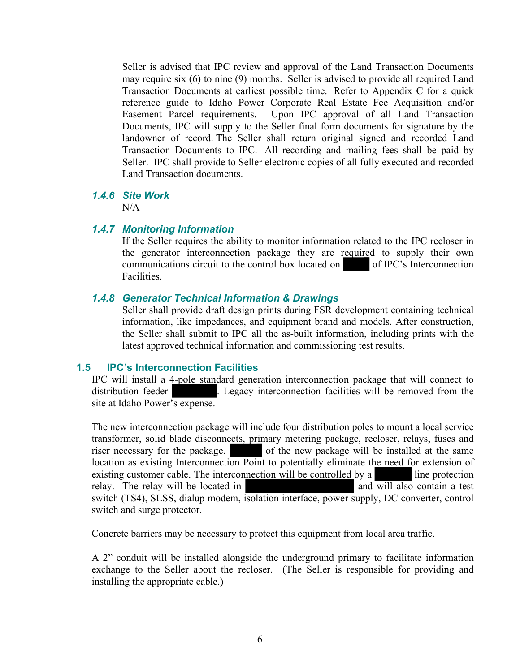Seller is advised that IPC review and approval of the Land Transaction Documents may require six (6) to nine (9) months. Seller is advised to provide all required Land Transaction Documents at earliest possible time. Refer to Appendix C for a quick reference guide to Idaho Power Corporate Real Estate Fee Acquisition and/or Easement Parcel requirements. Upon IPC approval of all Land Transaction Documents, IPC will supply to the Seller final form documents for signature by the landowner of record. The Seller shall return original signed and recorded Land Transaction Documents to IPC. All recording and mailing fees shall be paid by Seller. IPC shall provide to Seller electronic copies of all fully executed and recorded Land Transaction documents.

#### *1.4.6 Site Work*

 $N/A$ 

#### *1.4.7 Monitoring Information*

If the Seller requires the ability to monitor information related to the IPC recloser in the generator interconnection package they are required to supply their own communications circuit to the control box located on of IPC's Interconnection Facilities.

### *1.4.8 Generator Technical Information & Drawings*

Seller shall provide draft design prints during FSR development containing technical information, like impedances, and equipment brand and models. After construction, the Seller shall submit to IPC all the as-built information, including prints with the latest approved technical information and commissioning test results.

#### **1.5 IPC's Interconnection Facilities**

IPC will install a 4-pole standard generation interconnection package that will connect to distribution feeder . Legacy interconnection facilities will be removed from the site at Idaho Power's expense.

The new interconnection package will include four distribution poles to mount a local service transformer, solid blade disconnects, primary metering package, recloser, relays, fuses and riser necessary for the package. of the new package will be installed at the same location as existing Interconnection Point to potentially eliminate the need for extension of existing customer cable. The interconnection will be controlled by a line protection relay. The relay will be located in  $\blacksquare$  and will also contain a test switch (TS4), SLSS, dialup modem, isolation interface, power supply, DC converter, control switch and surge protector.

Concrete barriers may be necessary to protect this equipment from local area traffic.

A 2" conduit will be installed alongside the underground primary to facilitate information exchange to the Seller about the recloser. (The Seller is responsible for providing and installing the appropriate cable.)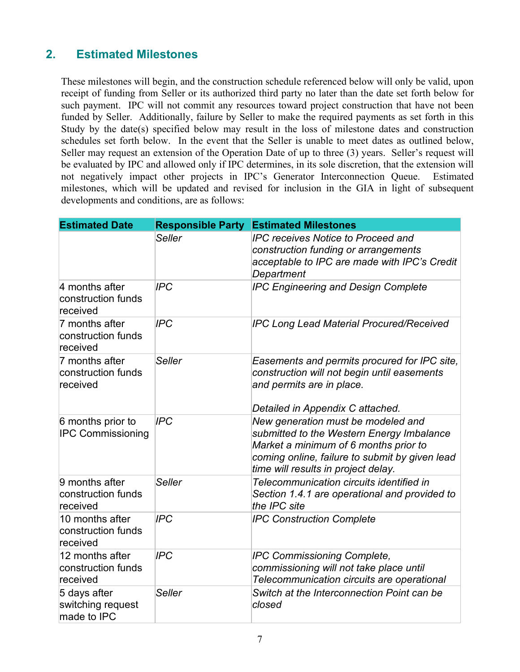# **2. Estimated Milestones**

These milestones will begin, and the construction schedule referenced below will only be valid, upon receipt of funding from Seller or its authorized third party no later than the date set forth below for such payment. IPC will not commit any resources toward project construction that have not been funded by Seller. Additionally, failure by Seller to make the required payments as set forth in this Study by the date(s) specified below may result in the loss of milestone dates and construction schedules set forth below. In the event that the Seller is unable to meet dates as outlined below, Seller may request an extension of the Operation Date of up to three (3) years. Seller's request will be evaluated by IPC and allowed only if IPC determines, in its sole discretion, that the extension will not negatively impact other projects in IPC's Generator Interconnection Queue. Estimated milestones, which will be updated and revised for inclusion in the GIA in light of subsequent developments and conditions, are as follows:

| <b>Estimated Date</b>                             | <b>Responsible Party</b> | <b>Estimated Milestones</b>                                                                                                                                                                                       |
|---------------------------------------------------|--------------------------|-------------------------------------------------------------------------------------------------------------------------------------------------------------------------------------------------------------------|
|                                                   | <b>Seller</b>            | <b>IPC receives Notice to Proceed and</b><br>construction funding or arrangements<br>acceptable to IPC are made with IPC's Credit<br>Department                                                                   |
| 4 months after<br>construction funds<br>received  | <b>IPC</b>               | <b>IPC Engineering and Design Complete</b>                                                                                                                                                                        |
| 7 months after<br>construction funds<br>received  | <b>IPC</b>               | <b>IPC Long Lead Material Procured/Received</b>                                                                                                                                                                   |
| 7 months after<br>construction funds<br>received  | <b>Seller</b>            | Easements and permits procured for IPC site,<br>construction will not begin until easements<br>and permits are in place.<br>Detailed in Appendix C attached.                                                      |
| 6 months prior to<br><b>IPC Commissioning</b>     | <b>IPC</b>               | New generation must be modeled and<br>submitted to the Western Energy Imbalance<br>Market a minimum of 6 months prior to<br>coming online, failure to submit by given lead<br>time will results in project delay. |
| 9 months after<br>construction funds<br>received  | <b>Seller</b>            | Telecommunication circuits identified in<br>Section 1.4.1 are operational and provided to<br>the IPC site                                                                                                         |
| 10 months after<br>construction funds<br>received | <b>IPC</b>               | <b>IPC Construction Complete</b>                                                                                                                                                                                  |
| 12 months after<br>construction funds<br>received | <b>IPC</b>               | <b>IPC Commissioning Complete,</b><br>commissioning will not take place until<br>Telecommunication circuits are operational                                                                                       |
| 5 days after<br>switching request<br>made to IPC  | <b>Seller</b>            | Switch at the Interconnection Point can be<br>closed                                                                                                                                                              |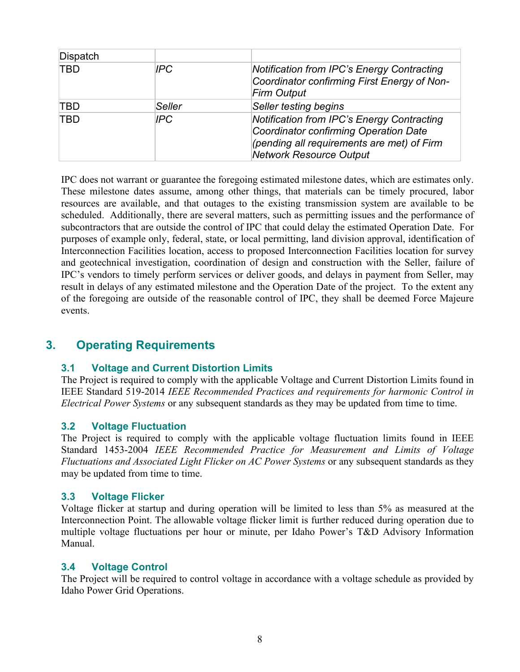| Dispatch   |            |                                                                                                                                                                     |
|------------|------------|---------------------------------------------------------------------------------------------------------------------------------------------------------------------|
| <b>TBD</b> | IPC.       | <b>Notification from IPC's Energy Contracting</b><br>Coordinator confirming First Energy of Non-<br><b>Firm Output</b>                                              |
| TBD        | Seller     | Seller testing begins                                                                                                                                               |
| <b>TBD</b> | <b>IPC</b> | Notification from IPC's Energy Contracting<br>Coordinator confirming Operation Date<br>(pending all requirements are met) of Firm<br><b>Network Resource Output</b> |

IPC does not warrant or guarantee the foregoing estimated milestone dates, which are estimates only. These milestone dates assume, among other things, that materials can be timely procured, labor resources are available, and that outages to the existing transmission system are available to be scheduled. Additionally, there are several matters, such as permitting issues and the performance of subcontractors that are outside the control of IPC that could delay the estimated Operation Date. For purposes of example only, federal, state, or local permitting, land division approval, identification of Interconnection Facilities location, access to proposed Interconnection Facilities location for survey and geotechnical investigation, coordination of design and construction with the Seller, failure of IPC's vendors to timely perform services or deliver goods, and delays in payment from Seller, may result in delays of any estimated milestone and the Operation Date of the project. To the extent any of the foregoing are outside of the reasonable control of IPC, they shall be deemed Force Majeure events.

## **3. Operating Requirements**

### **3.1 Voltage and Current Distortion Limits**

The Project is required to comply with the applicable Voltage and Current Distortion Limits found in IEEE Standard 519-2014 *IEEE Recommended Practices and requirements for harmonic Control in Electrical Power Systems* or any subsequent standards as they may be updated from time to time.

#### **3.2 Voltage Fluctuation**

The Project is required to comply with the applicable voltage fluctuation limits found in IEEE Standard 1453-2004 *IEEE Recommended Practice for Measurement and Limits of Voltage Fluctuations and Associated Light Flicker on AC Power Systems* or any subsequent standards as they may be updated from time to time.

#### **3.3 Voltage Flicker**

Voltage flicker at startup and during operation will be limited to less than 5% as measured at the Interconnection Point. The allowable voltage flicker limit is further reduced during operation due to multiple voltage fluctuations per hour or minute, per Idaho Power's T&D Advisory Information Manual.

#### **3.4 Voltage Control**

The Project will be required to control voltage in accordance with a voltage schedule as provided by Idaho Power Grid Operations.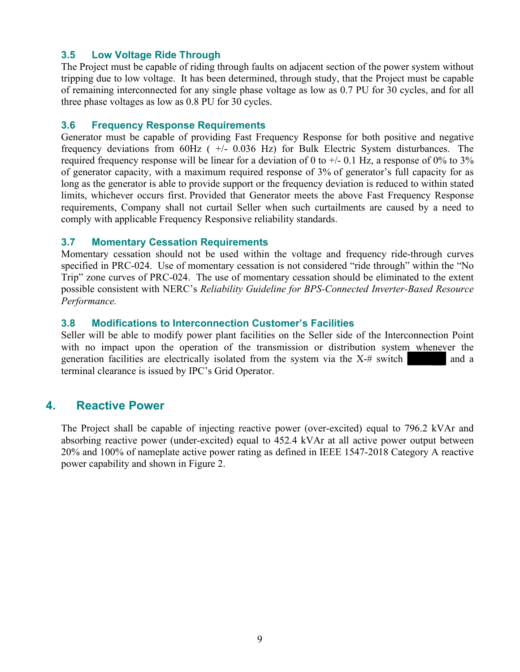### **3.5 Low Voltage Ride Through**

The Project must be capable of riding through faults on adjacent section of the power system without tripping due to low voltage. It has been determined, through study, that the Project must be capable of remaining interconnected for any single phase voltage as low as 0.7 PU for 30 cycles, and for all three phase voltages as low as 0.8 PU for 30 cycles.

#### **3.6 Frequency Response Requirements**

Generator must be capable of providing Fast Frequency Response for both positive and negative frequency deviations from  $60Hz$  (  $+/-$  0.036 Hz) for Bulk Electric System disturbances. The required frequency response will be linear for a deviation of 0 to  $+/-$  0.1 Hz, a response of 0% to 3% of generator capacity, with a maximum required response of 3% of generator's full capacity for as long as the generator is able to provide support or the frequency deviation is reduced to within stated limits, whichever occurs first. Provided that Generator meets the above Fast Frequency Response requirements, Company shall not curtail Seller when such curtailments are caused by a need to comply with applicable Frequency Responsive reliability standards.

### **3.7 Momentary Cessation Requirements**

Momentary cessation should not be used within the voltage and frequency ride-through curves specified in PRC-024. Use of momentary cessation is not considered "ride through" within the "No Trip" zone curves of PRC-024. The use of momentary cessation should be eliminated to the extent possible consistent with NERC's *Reliability Guideline for BPS-Connected Inverter-Based Resource Performance.*

### **3.8 Modifications to Interconnection Customer's Facilities**

Seller will be able to modify power plant facilities on the Seller side of the Interconnection Point with no impact upon the operation of the transmission or distribution system whenever the generation facilities are electrically isolated from the system via the  $X<sup>+</sup>$  switch and a terminal clearance is issued by IPC's Grid Operator.

## **4. Reactive Power**

The Project shall be capable of injecting reactive power (over-excited) equal to 796.2 kVAr and absorbing reactive power (under-excited) equal to 452.4 kVAr at all active power output between 20% and 100% of nameplate active power rating as defined in IEEE 1547-2018 Category A reactive power capability and shown in Figure 2.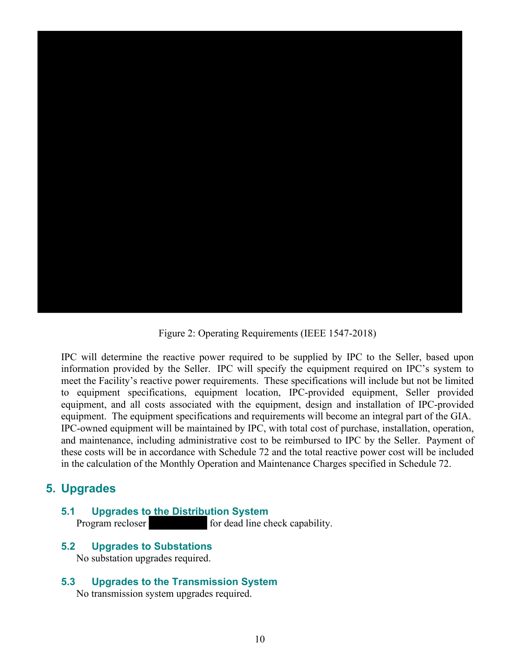

Figure 2: Operating Requirements (IEEE 1547-2018)

IPC will determine the reactive power required to be supplied by IPC to the Seller, based upon information provided by the Seller. IPC will specify the equipment required on IPC's system to meet the Facility's reactive power requirements. These specifications will include but not be limited to equipment specifications, equipment location, IPC-provided equipment, Seller provided equipment, and all costs associated with the equipment, design and installation of IPC-provided equipment. The equipment specifications and requirements will become an integral part of the GIA. IPC-owned equipment will be maintained by IPC, with total cost of purchase, installation, operation, and maintenance, including administrative cost to be reimbursed to IPC by the Seller. Payment of these costs will be in accordance with Schedule 72 and the total reactive power cost will be included in the calculation of the Monthly Operation and Maintenance Charges specified in Schedule 72.

## **5. Upgrades**

### **5.1 Upgrades to the Distribution System**<br>Program recloser for dead line check capability.

#### **5.2 Upgrades to Substations**

No substation upgrades required.

# **5.3 Upgrades to the Transmission System**

No transmission system upgrades required.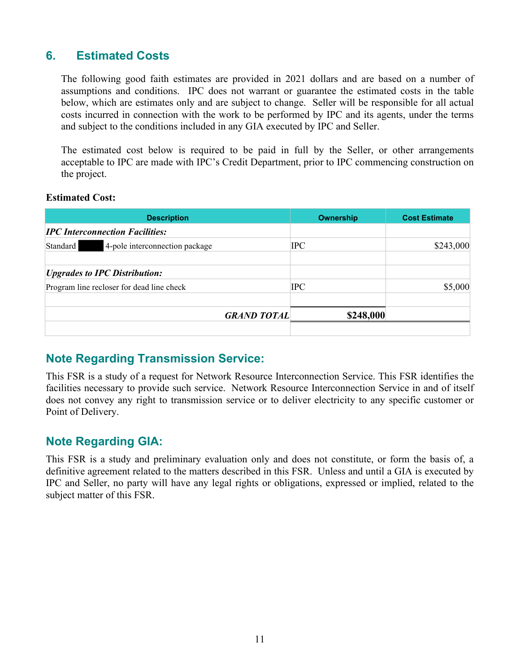## **6. Estimated Costs**

The following good faith estimates are provided in 2021 dollars and are based on a number of assumptions and conditions. IPC does not warrant or guarantee the estimated costs in the table below, which are estimates only and are subject to change. Seller will be responsible for all actual costs incurred in connection with the work to be performed by IPC and its agents, under the terms and subject to the conditions included in any GIA executed by IPC and Seller.

The estimated cost below is required to be paid in full by the Seller, or other arrangements acceptable to IPC are made with IPC's Credit Department, prior to IPC commencing construction on the project.

#### **Estimated Cost:**

| <b>Description</b>                          | Ownership  | <b>Cost Estimate</b> |
|---------------------------------------------|------------|----------------------|
| <b>IPC</b> Interconnection Facilities:      |            |                      |
| 4-pole interconnection package<br>Standard  | <b>IPC</b> | \$243,000            |
| <i><b>Upgrades to IPC Distribution:</b></i> |            |                      |
| Program line recloser for dead line check   | <b>IPC</b> | \$5,000              |
| <b>GRAND TOTAL</b>                          | \$248,000  |                      |
|                                             |            |                      |

## **Note Regarding Transmission Service:**

This FSR is a study of a request for Network Resource Interconnection Service. This FSR identifies the facilities necessary to provide such service. Network Resource Interconnection Service in and of itself does not convey any right to transmission service or to deliver electricity to any specific customer or Point of Delivery.

## **Note Regarding GIA:**

This FSR is a study and preliminary evaluation only and does not constitute, or form the basis of, a definitive agreement related to the matters described in this FSR. Unless and until a GIA is executed by IPC and Seller, no party will have any legal rights or obligations, expressed or implied, related to the subject matter of this FSR.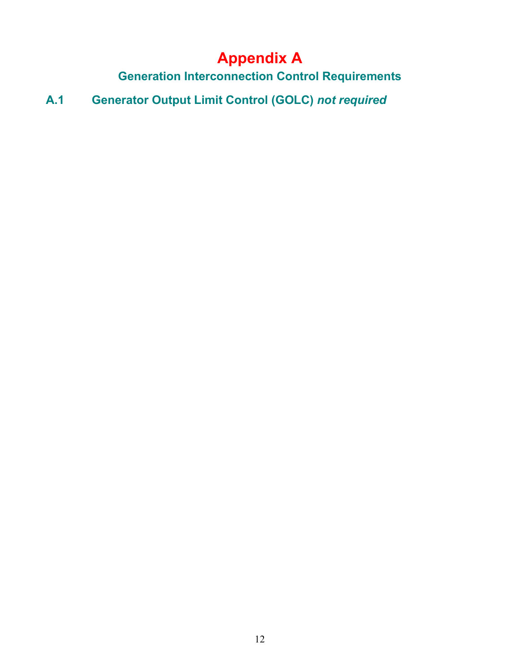# **Appendix A**

**Generation Interconnection Control Requirements**

**A.1 Generator Output Limit Control (GOLC)** *not required*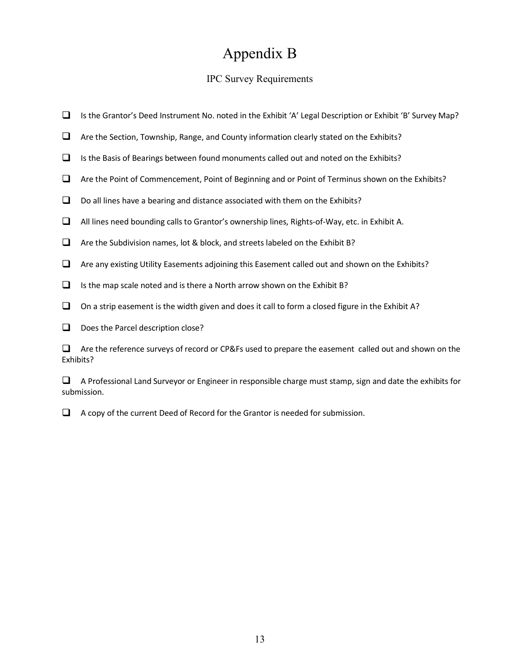# Appendix B

### IPC Survey Requirements

- Is the Grantor's Deed Instrument No. noted in the Exhibit 'A' Legal Description or Exhibit 'B' Survey Map?
- $\Box$  Are the Section, Township, Range, and County information clearly stated on the Exhibits?
- $\Box$  Is the Basis of Bearings between found monuments called out and noted on the Exhibits?
- $\Box$  Are the Point of Commencement, Point of Beginning and or Point of Terminus shown on the Exhibits?
- $\Box$  Do all lines have a bearing and distance associated with them on the Exhibits?
- $\Box$  All lines need bounding calls to Grantor's ownership lines, Rights-of-Way, etc. in Exhibit A.
- $\Box$  Are the Subdivision names, lot & block, and streets labeled on the Exhibit B?
- $\Box$  Are any existing Utility Easements adjoining this Easement called out and shown on the Exhibits?
- $\Box$  Is the map scale noted and is there a North arrow shown on the Exhibit B?
- $\Box$  On a strip easement is the width given and does it call to form a closed figure in the Exhibit A?
- $\Box$  Does the Parcel description close?

 $\Box$  Are the reference surveys of record or CP&Fs used to prepare the easement called out and shown on the Exhibits?

 $\Box$  A Professional Land Surveyor or Engineer in responsible charge must stamp, sign and date the exhibits for submission.

 $\Box$  A copy of the current Deed of Record for the Grantor is needed for submission.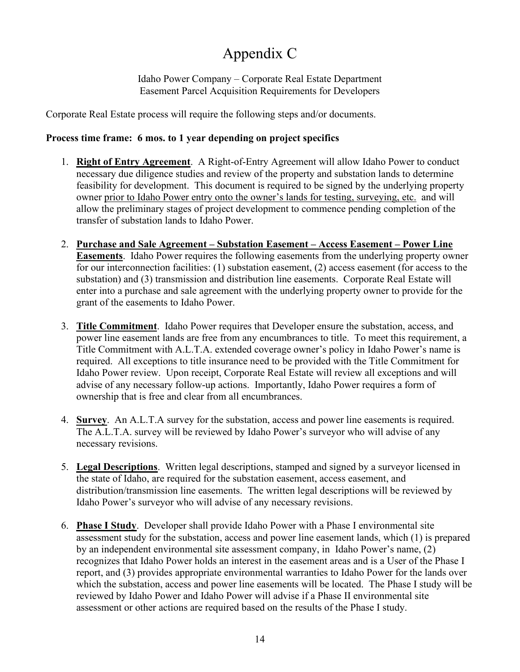# Appendix C

Idaho Power Company – Corporate Real Estate Department Easement Parcel Acquisition Requirements for Developers

Corporate Real Estate process will require the following steps and/or documents.

## **Process time frame: 6 mos. to 1 year depending on project specifics**

- 1. **Right of Entry Agreement**. A Right-of-Entry Agreement will allow Idaho Power to conduct necessary due diligence studies and review of the property and substation lands to determine feasibility for development. This document is required to be signed by the underlying property owner prior to Idaho Power entry onto the owner's lands for testing, surveying, etc. and will allow the preliminary stages of project development to commence pending completion of the transfer of substation lands to Idaho Power.
- 2. **Purchase and Sale Agreement – Substation Easement – Access Easement – Power Line Easements**. Idaho Power requires the following easements from the underlying property owner for our interconnection facilities: (1) substation easement, (2) access easement (for access to the substation) and (3) transmission and distribution line easements. Corporate Real Estate will enter into a purchase and sale agreement with the underlying property owner to provide for the grant of the easements to Idaho Power.
- 3. **Title Commitment**. Idaho Power requires that Developer ensure the substation, access, and power line easement lands are free from any encumbrances to title. To meet this requirement, a Title Commitment with A.L.T.A. extended coverage owner's policy in Idaho Power's name is required. All exceptions to title insurance need to be provided with the Title Commitment for Idaho Power review. Upon receipt, Corporate Real Estate will review all exceptions and will advise of any necessary follow-up actions. Importantly, Idaho Power requires a form of ownership that is free and clear from all encumbrances.
- 4. **Survey**. An A.L.T.A survey for the substation, access and power line easements is required. The A.L.T.A. survey will be reviewed by Idaho Power's surveyor who will advise of any necessary revisions.
- 5. **Legal Descriptions**. Written legal descriptions, stamped and signed by a surveyor licensed in the state of Idaho, are required for the substation easement, access easement, and distribution/transmission line easements. The written legal descriptions will be reviewed by Idaho Power's surveyor who will advise of any necessary revisions.
- 6. **Phase I Study**. Developer shall provide Idaho Power with a Phase I environmental site assessment study for the substation, access and power line easement lands, which (1) is prepared by an independent environmental site assessment company, in Idaho Power's name, (2) recognizes that Idaho Power holds an interest in the easement areas and is a User of the Phase I report, and (3) provides appropriate environmental warranties to Idaho Power for the lands over which the substation, access and power line easements will be located. The Phase I study will be reviewed by Idaho Power and Idaho Power will advise if a Phase II environmental site assessment or other actions are required based on the results of the Phase I study.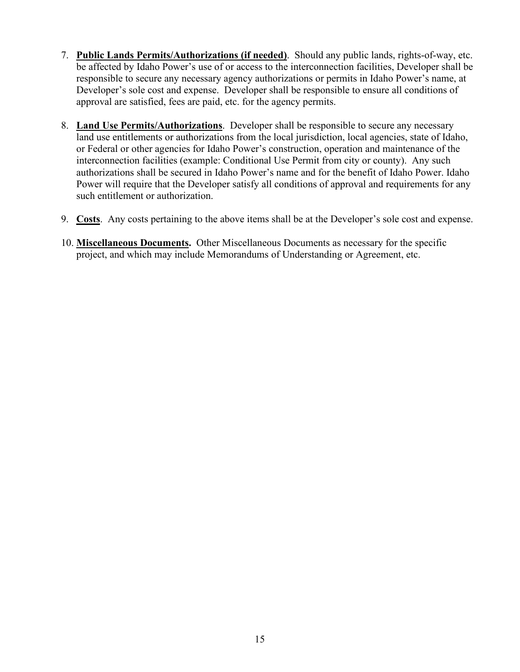- 7. **Public Lands Permits/Authorizations (if needed)**. Should any public lands, rights-of-way, etc. be affected by Idaho Power's use of or access to the interconnection facilities, Developer shall be responsible to secure any necessary agency authorizations or permits in Idaho Power's name, at Developer's sole cost and expense. Developer shall be responsible to ensure all conditions of approval are satisfied, fees are paid, etc. for the agency permits.
- 8. **Land Use Permits/Authorizations**. Developer shall be responsible to secure any necessary land use entitlements or authorizations from the local jurisdiction, local agencies, state of Idaho, or Federal or other agencies for Idaho Power's construction, operation and maintenance of the interconnection facilities (example: Conditional Use Permit from city or county). Any such authorizations shall be secured in Idaho Power's name and for the benefit of Idaho Power. Idaho Power will require that the Developer satisfy all conditions of approval and requirements for any such entitlement or authorization.
- 9. **Costs**. Any costs pertaining to the above items shall be at the Developer's sole cost and expense.
- 10. **Miscellaneous Documents.** Other Miscellaneous Documents as necessary for the specific project, and which may include Memorandums of Understanding or Agreement, etc.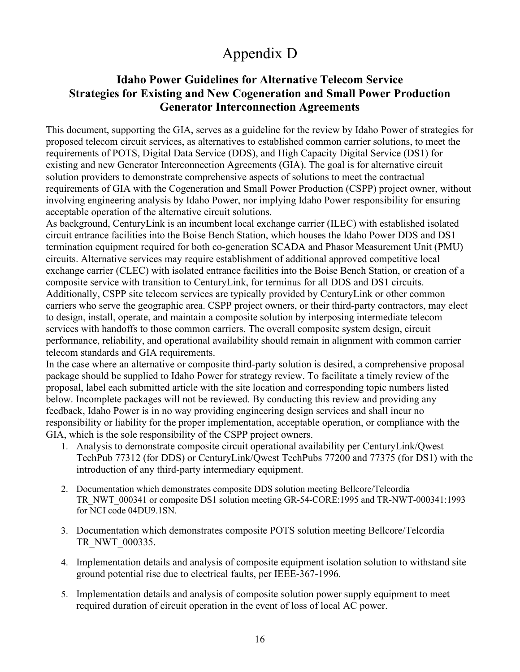# Appendix D

## **Idaho Power Guidelines for Alternative Telecom Service Strategies for Existing and New Cogeneration and Small Power Production Generator Interconnection Agreements**

This document, supporting the GIA, serves as a guideline for the review by Idaho Power of strategies for proposed telecom circuit services, as alternatives to established common carrier solutions, to meet the requirements of POTS, Digital Data Service (DDS), and High Capacity Digital Service (DS1) for existing and new Generator Interconnection Agreements (GIA). The goal is for alternative circuit solution providers to demonstrate comprehensive aspects of solutions to meet the contractual requirements of GIA with the Cogeneration and Small Power Production (CSPP) project owner, without involving engineering analysis by Idaho Power, nor implying Idaho Power responsibility for ensuring acceptable operation of the alternative circuit solutions.

As background, CenturyLink is an incumbent local exchange carrier (ILEC) with established isolated circuit entrance facilities into the Boise Bench Station, which houses the Idaho Power DDS and DS1 termination equipment required for both co-generation SCADA and Phasor Measurement Unit (PMU) circuits. Alternative services may require establishment of additional approved competitive local exchange carrier (CLEC) with isolated entrance facilities into the Boise Bench Station, or creation of a composite service with transition to CenturyLink, for terminus for all DDS and DS1 circuits. Additionally, CSPP site telecom services are typically provided by CenturyLink or other common carriers who serve the geographic area. CSPP project owners, or their third-party contractors, may elect to design, install, operate, and maintain a composite solution by interposing intermediate telecom services with handoffs to those common carriers. The overall composite system design, circuit performance, reliability, and operational availability should remain in alignment with common carrier telecom standards and GIA requirements.

In the case where an alternative or composite third-party solution is desired, a comprehensive proposal package should be supplied to Idaho Power for strategy review. To facilitate a timely review of the proposal, label each submitted article with the site location and corresponding topic numbers listed below. Incomplete packages will not be reviewed. By conducting this review and providing any feedback, Idaho Power is in no way providing engineering design services and shall incur no responsibility or liability for the proper implementation, acceptable operation, or compliance with the GIA, which is the sole responsibility of the CSPP project owners.

- 1. Analysis to demonstrate composite circuit operational availability per CenturyLink/Qwest TechPub 77312 (for DDS) or CenturyLink/Qwest TechPubs 77200 and 77375 (for DS1) with the introduction of any third-party intermediary equipment.
- 2. Documentation which demonstrates composite DDS solution meeting Bellcore/Telcordia TR\_NWT\_000341 or composite DS1 solution meeting GR-54-CORE:1995 and TR-NWT-000341:1993 for NCI code 04DU9.1SN.
- 3. Documentation which demonstrates composite POTS solution meeting Bellcore/Telcordia TR\_NWT\_000335.
- 4. Implementation details and analysis of composite equipment isolation solution to withstand site ground potential rise due to electrical faults, per IEEE-367-1996.
- 5. Implementation details and analysis of composite solution power supply equipment to meet required duration of circuit operation in the event of loss of local AC power.